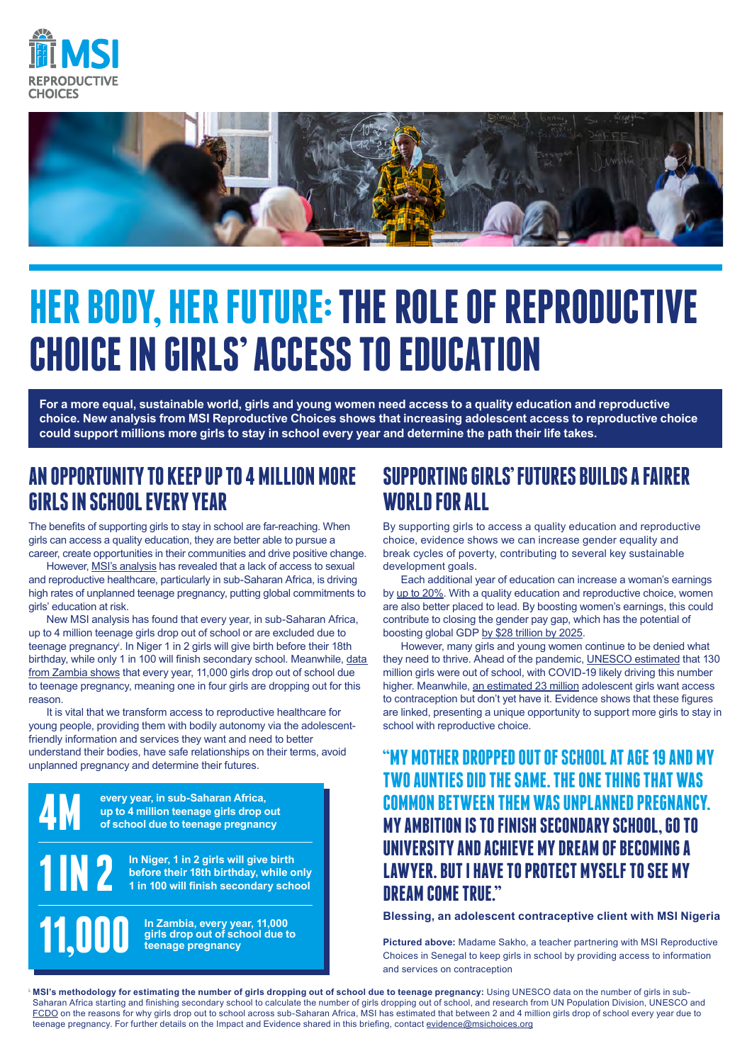



## **HER BODY, HER FUTURE: THE ROLE OF REPRODUCTIVE CHOICE IN GIRLS' ACCESS TOEDUCATION**

**For a more equal, sustainable world, girls and young women need access to a quality education and reproductive choice. New analysis from MSI Reproductive Choices shows that increasing adolescent access to reproductive choice could support millions more girls to stay in school every year and determine the path their life takes.** 

#### **AN OPPORTUNITY TO KEEP UP TO 4 MILLION MORE GIRLS IN SCHOOL EVERY YEAR**

The benefits of supporting girls to stay in school are far-reaching. When girls can access a quality education, they are better able to pursue a career, create opportunities in their communities and drive positive change.

However, [MSI's analysis](https://www.msichoices.org/resources/reproductive-choice-for-all-leaving-no-one-behind-in-reproductive-healthcare/) has revealed that a lack of access to sexual and reproductive healthcare, particularly in sub-Saharan Africa, is driving high rates of unplanned teenage pregnancy, putting global commitments to girls' education at risk.

New MSI analysis has found that every year, in sub-Saharan Africa, up to 4 million teenage girls drop out of school or are excluded due to teenage pregnancyi . In Niger 1 in 2 girls will give birth before their 18th birthday, while only 1 in 100 will finish secondary school. Meanwhile, [data](https://openknowledge.worldbank.org/bitstream/handle/10986/23865/K8486.pdf?sequence=4&isAllowed=y#:~:text=school%20due%20to%20pregnancy%20are,System%20%5BEMIS%5D%20data).&text=Overall%2C%2058%20percent%20of%20the,Zambia%20lives%20in%20rural%20areas.&text=(16%20percent)%2C%20and%20grades,%E2%80%9312%20(6%20percent)  [from Zambia shows](https://openknowledge.worldbank.org/bitstream/handle/10986/23865/K8486.pdf?sequence=4&isAllowed=y#:~:text=school%20due%20to%20pregnancy%20are,System%20%5BEMIS%5D%20data).&text=Overall%2C%2058%20percent%20of%20the,Zambia%20lives%20in%20rural%20areas.&text=(16%20percent)%2C%20and%20grades,%E2%80%9312%20(6%20percent) that every year, 11,000 girls drop out of school due to teenage pregnancy, meaning one in four girls are dropping out for this reason.

It is vital that we transform access to reproductive healthcare for young people, providing them with bodily autonomy via the adolescentfriendly information and services they want and need to better understand their bodies, have safe relationships on their terms, avoid unplanned pregnancy and determine their futures.

> **every year, in sub-Saharan Africa, up to 4 million teenage girls drop out of school due to teenage pregnancy**

**4M**

**1 IN 2**

**11,000**

**In Niger, 1 in 2 girls will give birth before their 18th birthday, while only 1 in 100 will finish secondary school**

> **In Zambia, every year, 11,000 girls drop out of school due to teenage pregnancy**

#### **SUPPORTING GIRLS' FUTURES BUILDS A FAIRER WORLD FOR ALL**

By supporting girls to access a quality education and reproductive choice, evidence shows we can increase gender equality and break cycles of poverty, contributing to several key sustainable development goals.

Each additional year of education can increase a woman's earnings by [up to 20%](https://en.unesco.org/covid19/educationresponse/girlseducation). With a quality education and reproductive choice, women are also better placed to lead. By boosting women's earnings, this could contribute to closing the gender pay gap, which has the potential of boosting global GDP [by \\$28 trillion by 2025](https://www.mckinsey.com/featured-insights/employment-and-growth/how-advancing-womens-equality-can-add-12-trillion-to-global-growth#).

However, many girls and young women continue to be denied what they need to thrive. Ahead of the pandemic, [UNESCO estimated](https://en.unesco.org/covid19/educationresponse/girlseducation) that 130 million girls were out of school, with COVID-19 likely driving this number higher. Meanwhile, [an estimated 23 million](https://www.guttmacher.org/report/adding-it-meeting-contraceptive-needs-of-adolescents) adolescent girls want access to contraception but don't yet have it. Evidence shows that these figures are linked, presenting a unique opportunity to support more girls to stay in school with reproductive choice.

#### **"MY MOTHER DROPPED OUT OF SCHOOL AT AGE 19 AND MY TWO AUNTIES DID THESAME. THE ONE THING THAT WAS COMMON BETWEEN THEM WAS UNPLANNED PREGNANCY. MYAMBITION IS TO FINISH SECONDARY SCHOOL, GO TO UNIVERSITY AND ACHIEVE MY DREAM OF BECOMING A LAWYER. BUT I HAVE TO PROTECT MYSELF TO SEE MY DREAM COME TRUE."**

**Blessing, an adolescent contraceptive client with MSI Nigeria**

**Pictured above:** Madame Sakho, a teacher partnering with MSI Reproductive Choices in Senegal to keep girls in school by providing access to information and services on contraception

MSI's methodology for estimating the number of girls dropping out of school due to teenage pregnancy: Using UNESCO data on the number of girls in sub-Saharan Africa starting and finishing secondary school to calculate the number of girls dropping out of school, and research from UN Population Division, UNESCO and [FCDO](https://assets.publishing.service.gov.uk/media/5c6ac30440f0b61a1afc3f7c/470_Early_Marriage_Pregnancy_and_School_Dropout.pdf) on the reasons for why girls drop out to school across sub-Saharan Africa, MSI has estimated that between 2 and 4 million girls drop of school every year due to teenage pregnancy. For further details on the Impact and Evidence shared in this briefing, contact [evidence@msichoices.org](mailto:evidence%40msichoices.org?subject=)